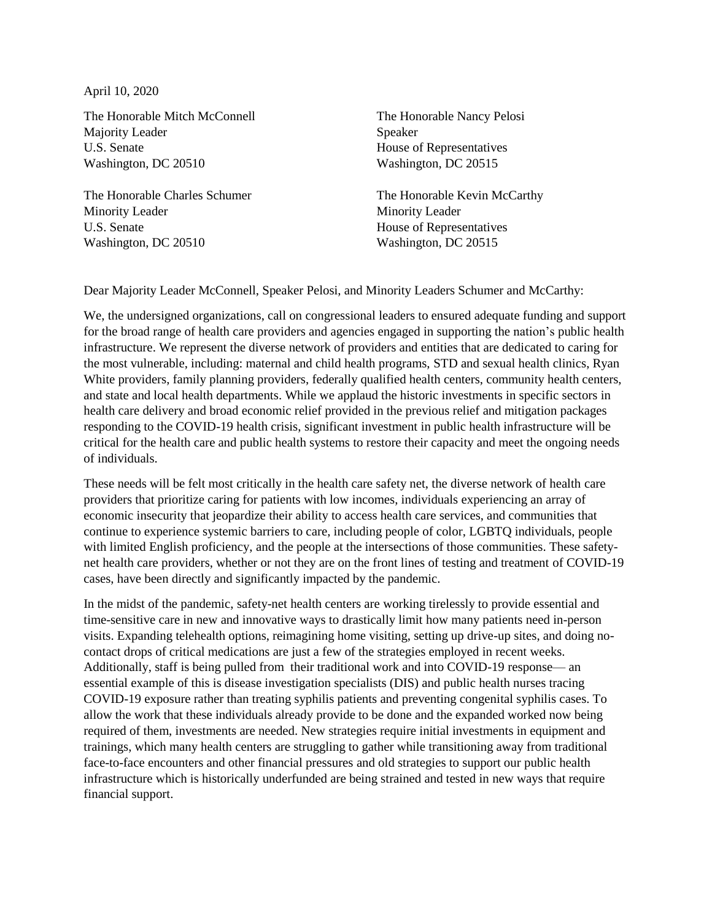April 10, 2020

The Honorable Mitch McConnell Majority Leader U.S. Senate Washington, DC 20510

The Honorable Charles Schumer Minority Leader U.S. Senate Washington, DC 20510

The Honorable Nancy Pelosi Speaker House of Representatives Washington, DC 20515

The Honorable Kevin McCarthy Minority Leader House of Representatives Washington, DC 20515

Dear Majority Leader McConnell, Speaker Pelosi, and Minority Leaders Schumer and McCarthy:

We, the undersigned organizations, call on congressional leaders to ensured adequate funding and support for the broad range of health care providers and agencies engaged in supporting the nation's public health infrastructure. We represent the diverse network of providers and entities that are dedicated to caring for the most vulnerable, including: maternal and child health programs, STD and sexual health clinics, Ryan White providers, family planning providers, federally qualified health centers, community health centers, and state and local health departments. While we applaud the historic investments in specific sectors in health care delivery and broad economic relief provided in the previous relief and mitigation packages responding to the COVID-19 health crisis, significant investment in public health infrastructure will be critical for the health care and public health systems to restore their capacity and meet the ongoing needs of individuals.

These needs will be felt most critically in the health care safety net, the diverse network of health care providers that prioritize caring for patients with low incomes, individuals experiencing an array of economic insecurity that jeopardize their ability to access health care services, and communities that continue to experience systemic barriers to care, including people of color, LGBTQ individuals, people with limited English proficiency, and the people at the intersections of those communities. These safetynet health care providers, whether or not they are on the front lines of testing and treatment of COVID-19 cases, have been directly and significantly impacted by the pandemic.

In the midst of the pandemic, safety-net health centers are working tirelessly to provide essential and time-sensitive care in new and innovative ways to drastically limit how many patients need in-person visits. Expanding telehealth options, reimagining home visiting, setting up drive-up sites, and doing nocontact drops of critical medications are just a few of the strategies employed in recent weeks. Additionally, staff is being pulled from their traditional work and into COVID-19 response— an essential example of this is disease investigation specialists (DIS) and public health nurses tracing COVID-19 exposure rather than treating syphilis patients and preventing congenital syphilis cases. To allow the work that these individuals already provide to be done and the expanded worked now being required of them, investments are needed. New strategies require initial investments in equipment and trainings, which many health centers are struggling to gather while transitioning away from traditional face-to-face encounters and other financial pressures and old strategies to support our public health infrastructure which is historically underfunded are being strained and tested in new ways that require financial support.